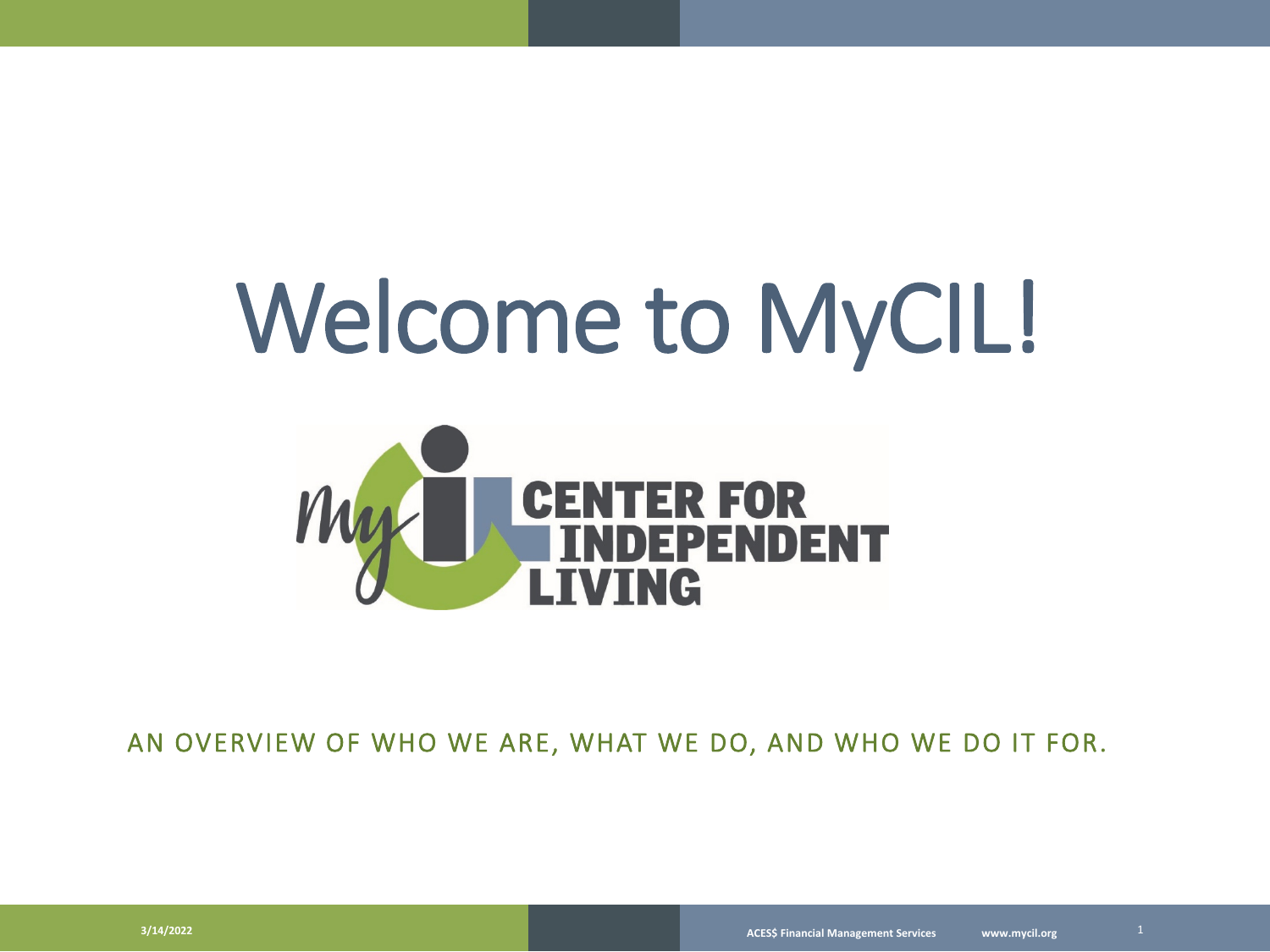# Welcome to MyCIL!



AN OVERVIEW OF WHO WE ARE, WHAT WE DO, AND WHO WE DO IT FOR.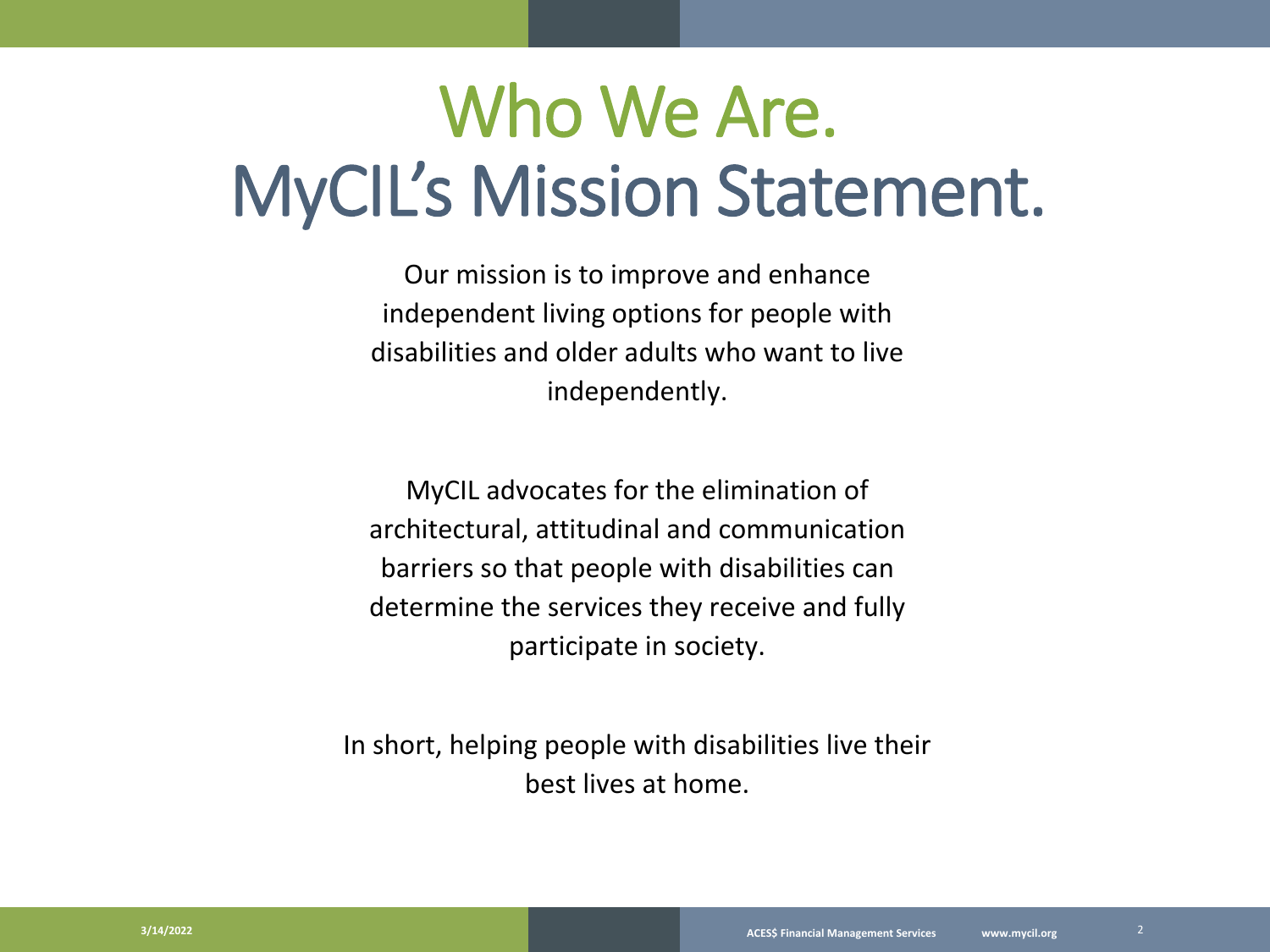### Who We Are. MyCIL's Mission Statement.

Our mission is to improve and enhance independent living options for people with disabilities and older adults who want to live independently.

MyCIL advocates for the elimination of architectural, attitudinal and communication barriers so that people with disabilities can determine the services they receive and fully participate in society.

In short, helping people with disabilities live their best lives at home.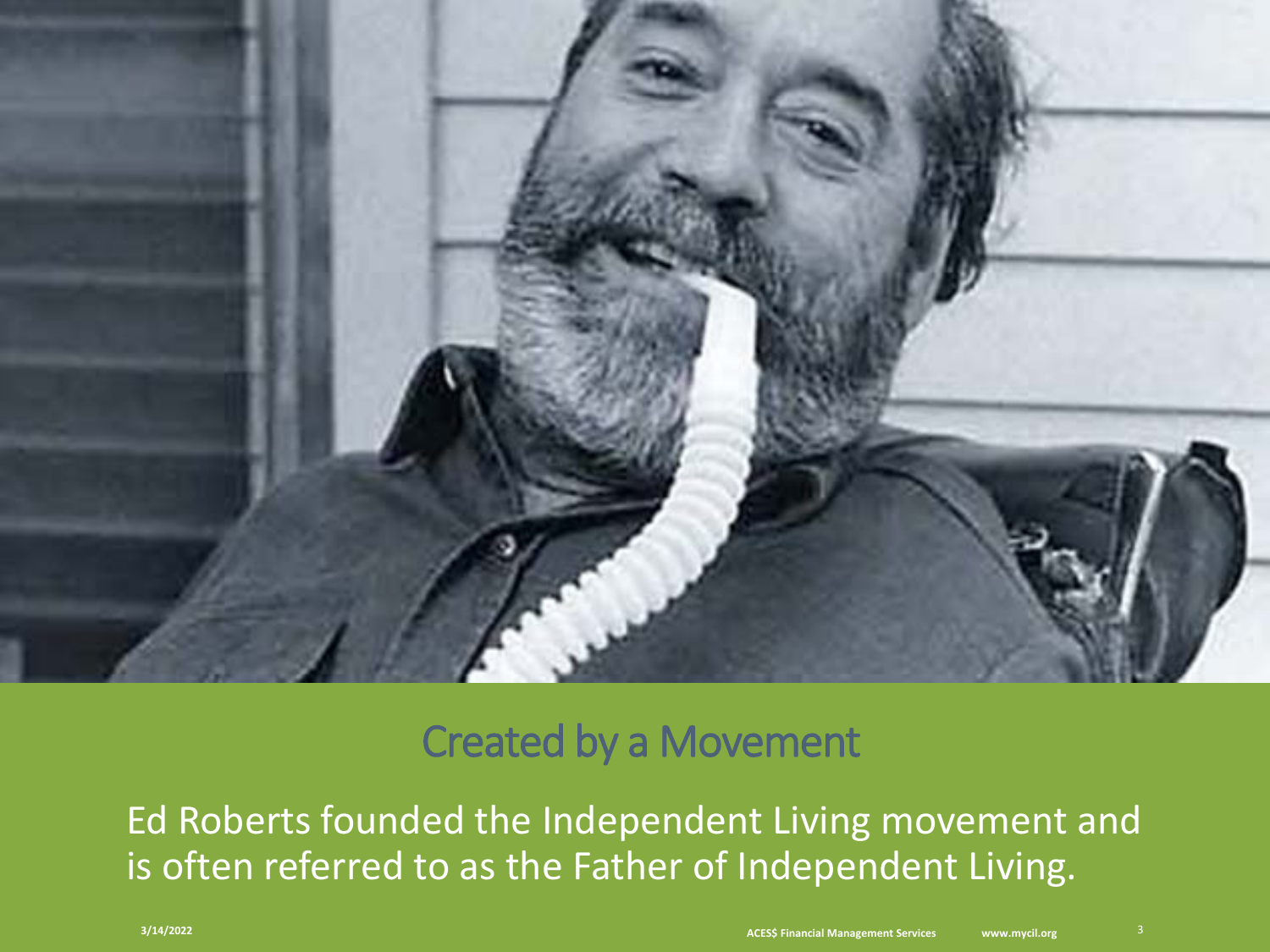

Created by a Movement

Ed Roberts founded the Independent Living movement and is often referred to as the Father of Independent Living.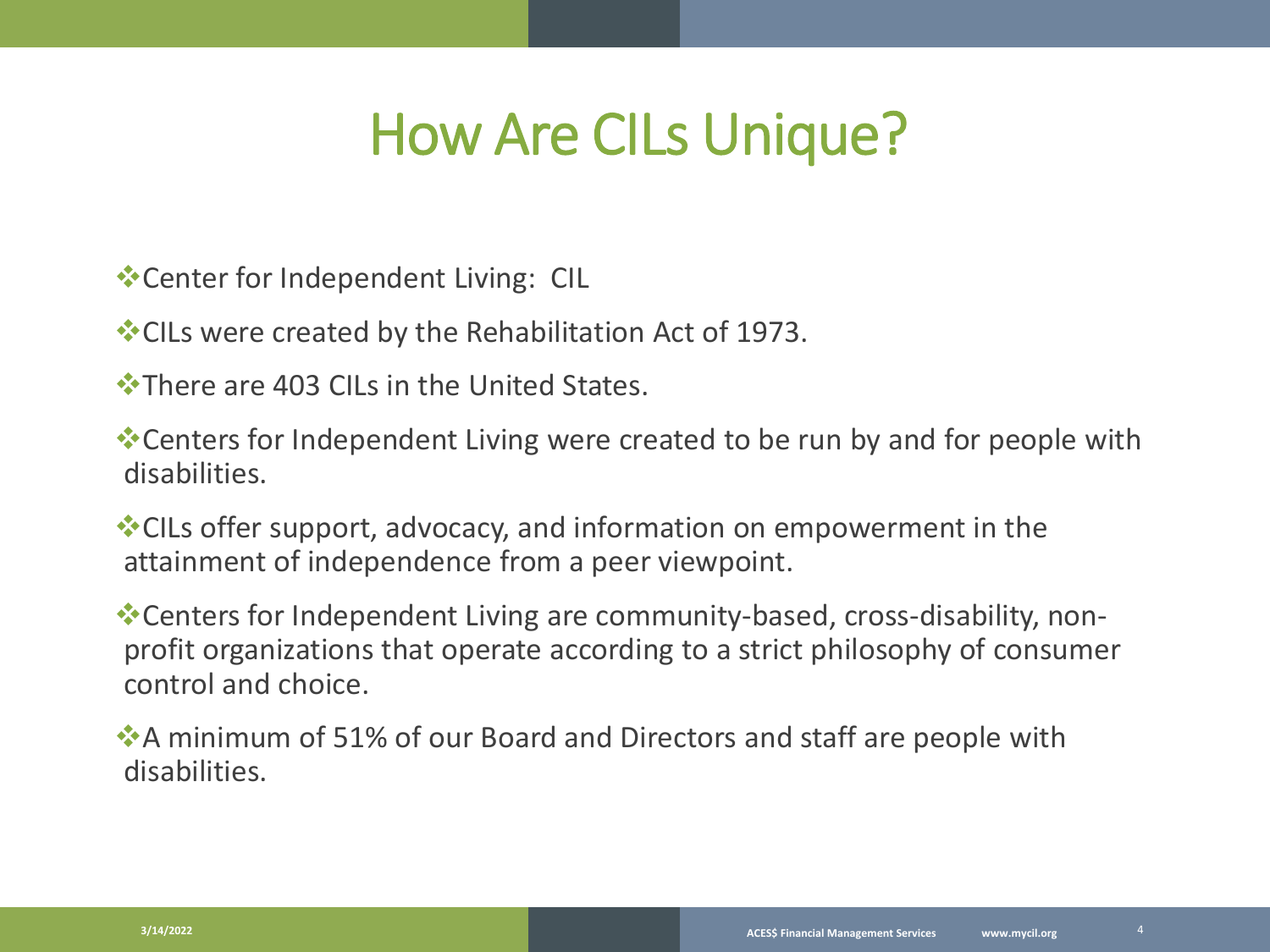#### How Are CILs Unique?

**Executer for Independent Living: CIL** 

CILs were created by the Rehabilitation Act of 1973.

 $\cdot$ There are 403 CIIs in the United States.

Centers for Independent Living were created to be run by and for people with disabilities.

CILs offer support, advocacy, and information on empowerment in the attainment of independence from a peer viewpoint.

Centers for Independent Living are community-based, cross-disability, nonprofit organizations that operate according to a strict philosophy of consumer control and choice.

A minimum of 51% of our Board and Directors and staff are people with disabilities.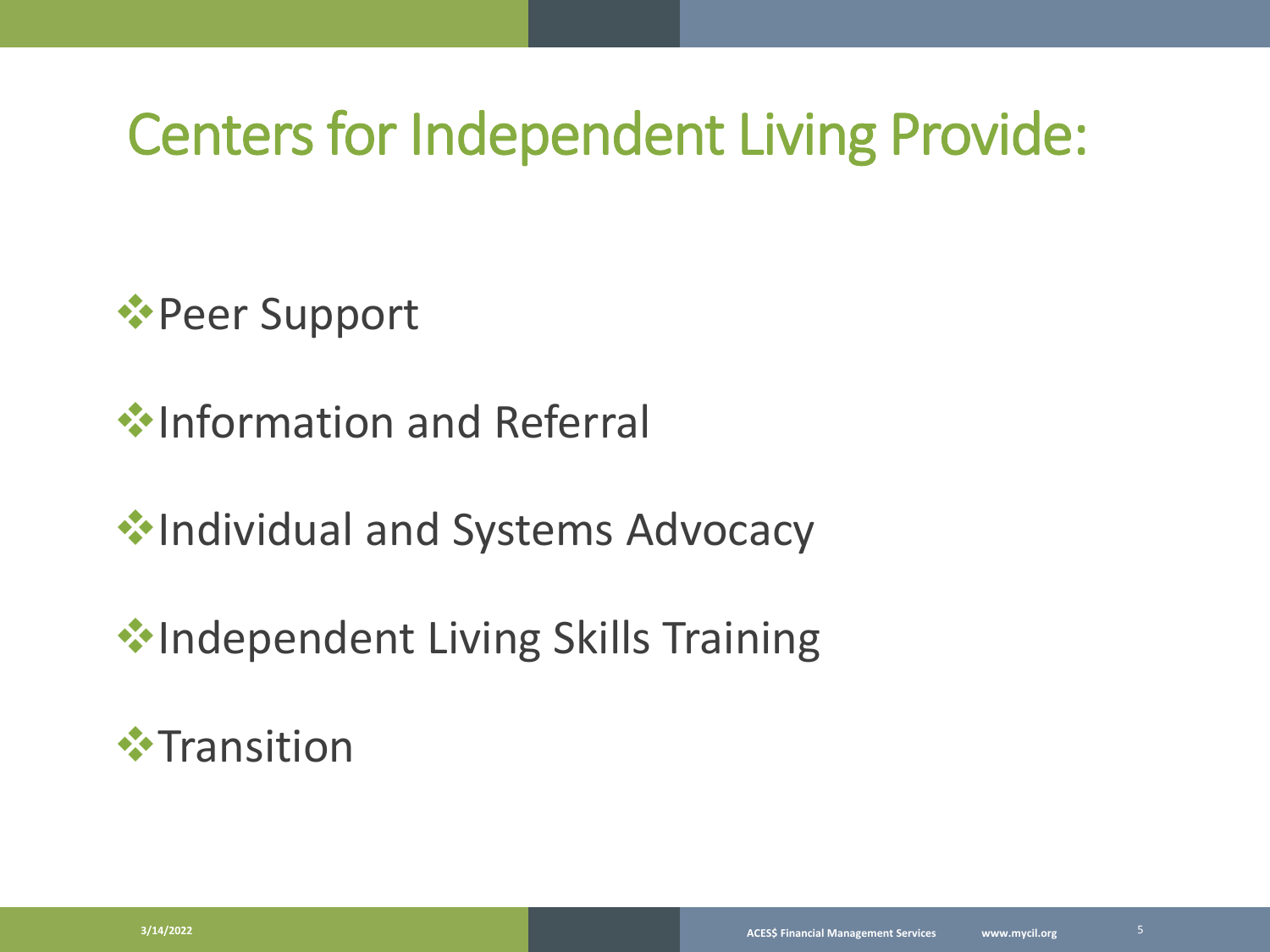#### Centers for Independent Living Provide:

#### **◆ Peer Support**

Information and Referral

 $\dots$  **Individual and Systems Advocacy** 

**V**•Independent Living Skills Training

#### $\cdot$ Transition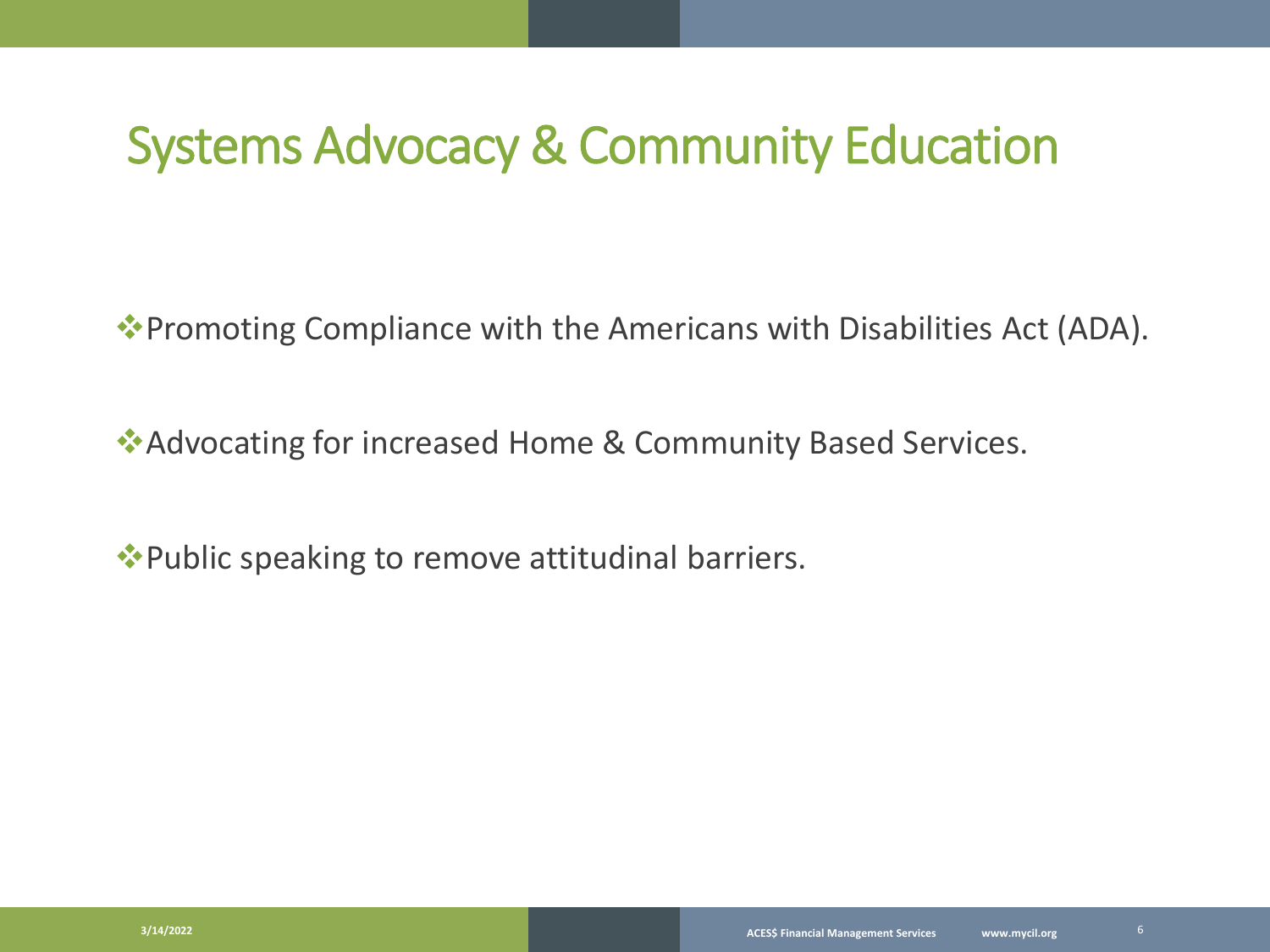#### Systems Advocacy & Community Education

Promoting Compliance with the Americans with Disabilities Act (ADA).

Advocating for increased Home & Community Based Services.

**◆ Public speaking to remove attitudinal barriers.**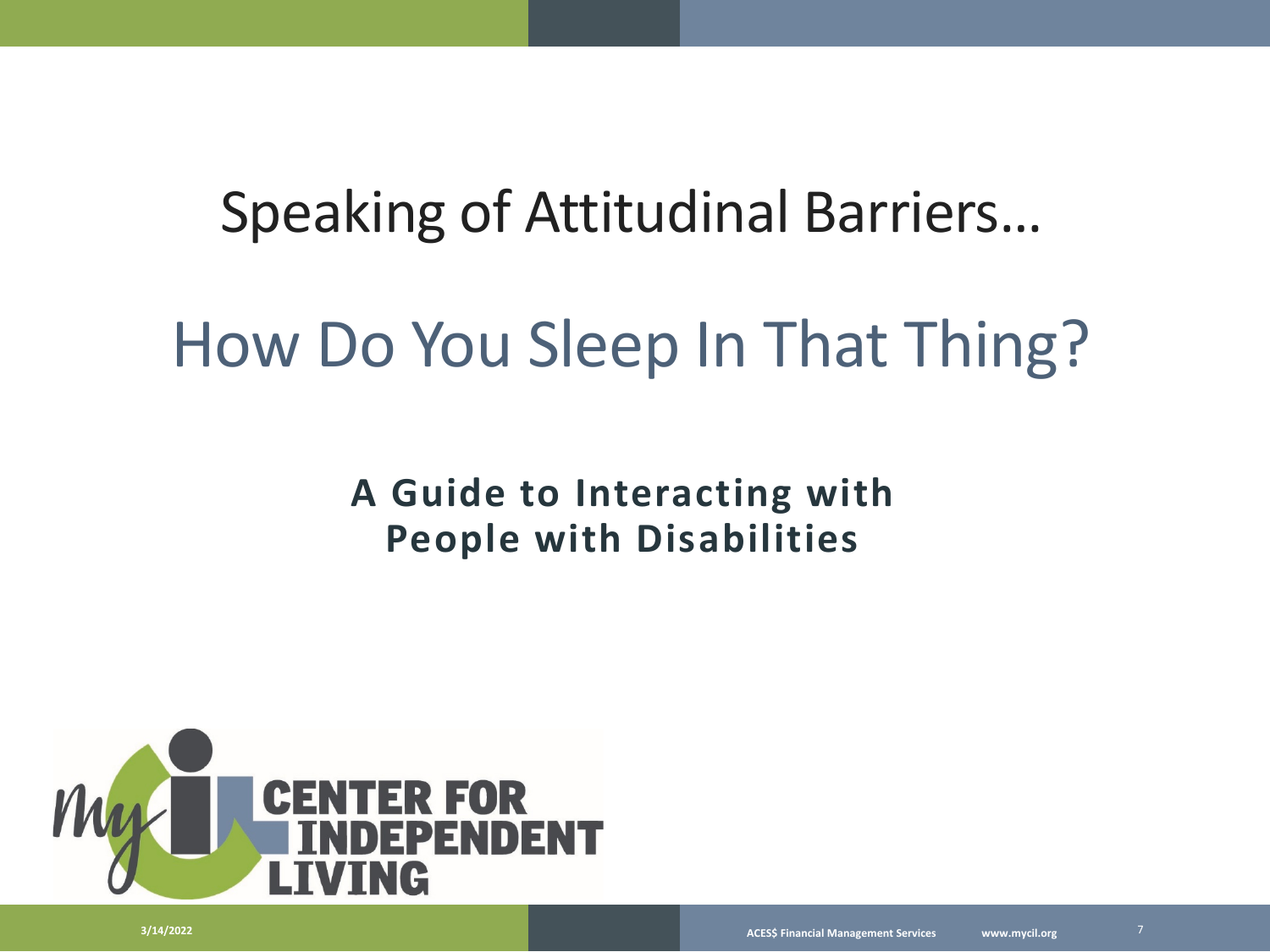#### Speaking of Attitudinal Barriers…

### How Do You Sleep In That Thing?

#### **A Guide to Interacting with People with Disabilities**

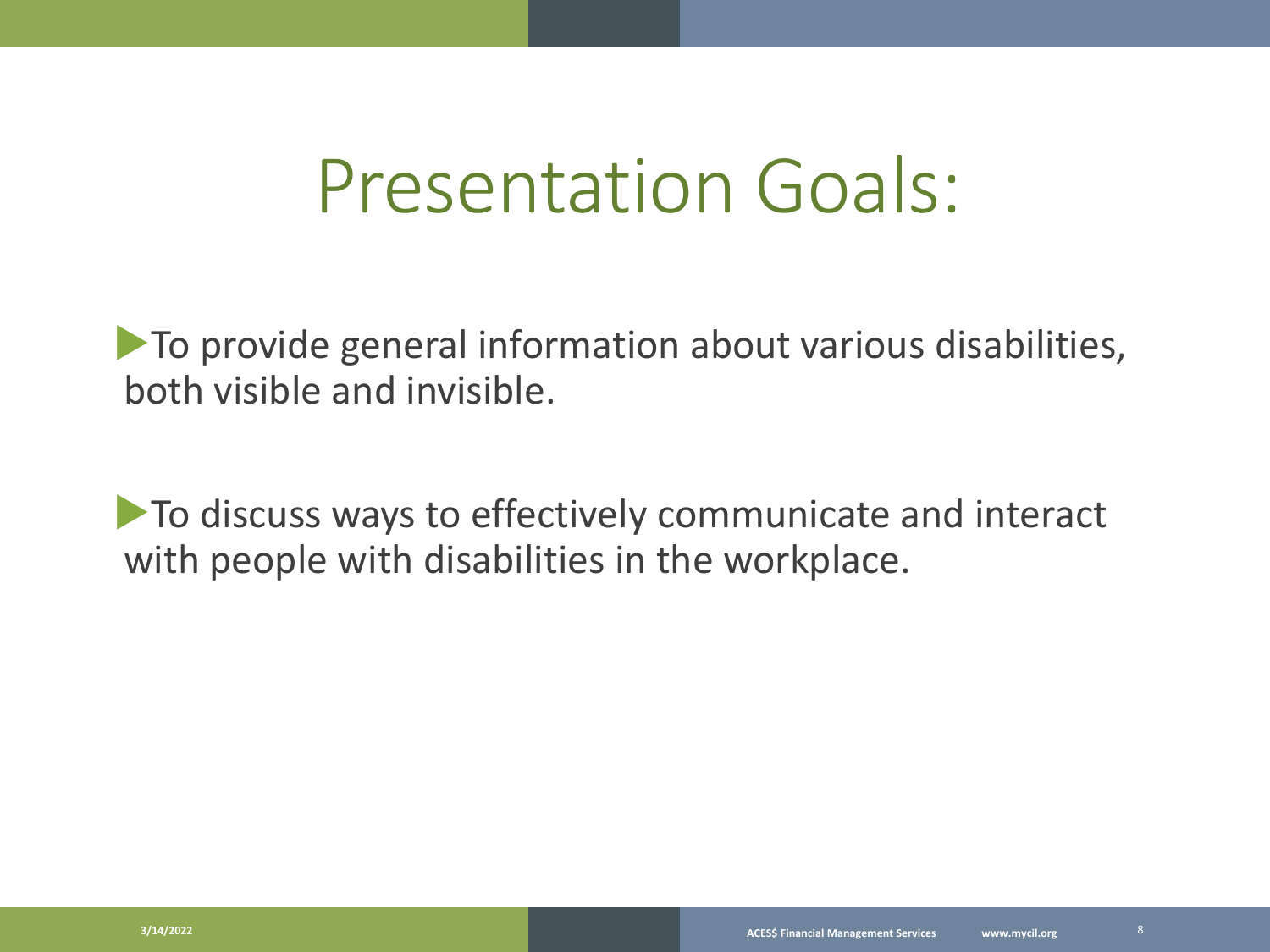### Presentation Goals:

To provide general information about various disabilities, both visible and invisible.

To discuss ways to effectively communicate and interact with people with disabilities in the workplace.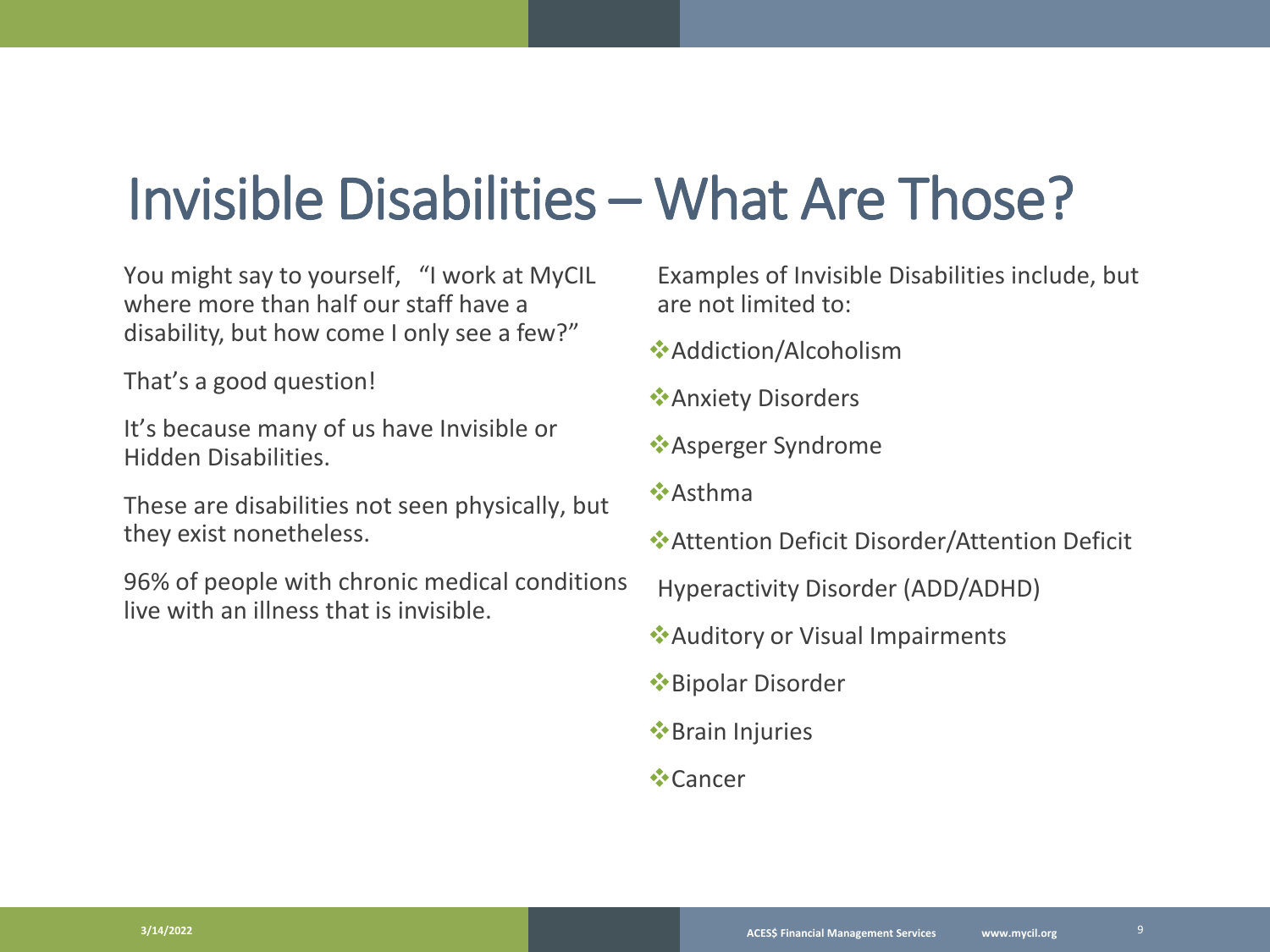### Invisible Disabilities – What Are Those?

You might say to yourself, "I work at MyCIL where more than half our staff have a disability, but how come I only see a few?"

That's a good question!

It's because many of us have Invisible or Hidden Disabilities.

These are disabilities not seen physically, but they exist nonetheless.

96% of people with chronic medical conditions live with an illness that is invisible.

Examples of Invisible Disabilities include, but are not limited to:

- Addiction/Alcoholism
- Anxiety Disorders
- Asperger Syndrome
- Asthma
- Attention Deficit Disorder/Attention Deficit

Hyperactivity Disorder (ADD/ADHD)

- Auditory or Visual Impairments
- Bipolar Disorder
- Brain Injuries
- **☆Cancer**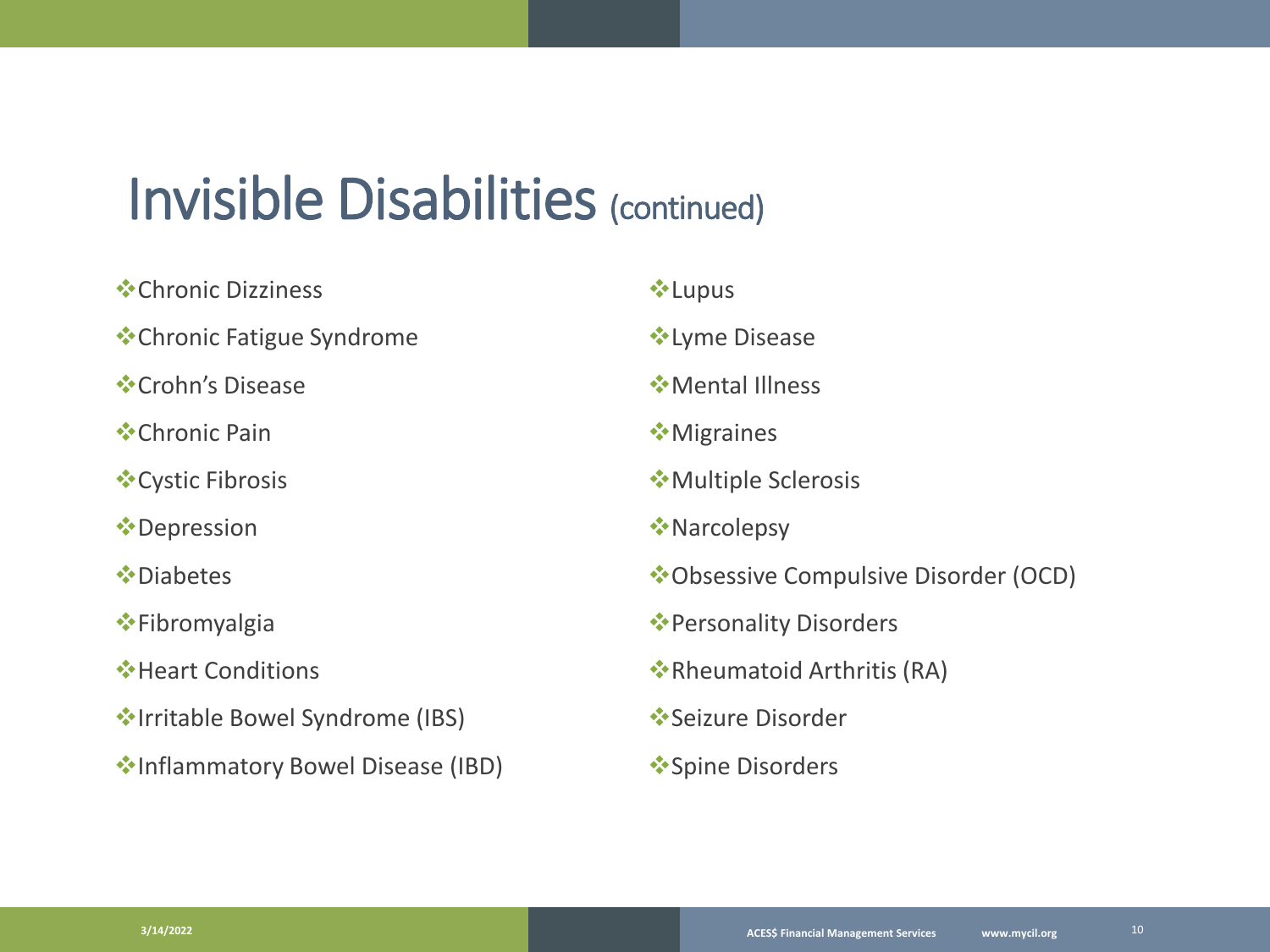#### Invisible Disabilities (continued)

| ❖ Chronic Dizziness                       | ❖ Lupus                              |
|-------------------------------------------|--------------------------------------|
| <b>V</b> Chronic Fatigue Syndrome         | <b>V</b> : Lyme Disease              |
| ❖ Crohn's Disease                         | <b>☆</b> Mental Illness              |
| <b>❖</b> Chronic Pain                     | <b>Migraines</b>                     |
| ❖ Cystic Fibrosis                         | <b>☆</b> Multiple Sclerosis          |
| <b>❖</b> Depression                       | *Narcolepsy                          |
| <b>☆</b> Diabetes                         | *Obsessive Compulsive Disorder (OCD) |
|                                           | ❖ Personality Disorders              |
| <b>☆</b> Heart Conditions                 | *Rheumatoid Arthritis (RA)           |
| <b>V</b> Irritable Bowel Syndrome (IBS)   | <b>V</b> *Seizure Disorder           |
| <b>Vertilemmatory Bowel Disease (IBD)</b> | ❖ Spine Disorders                    |
|                                           |                                      |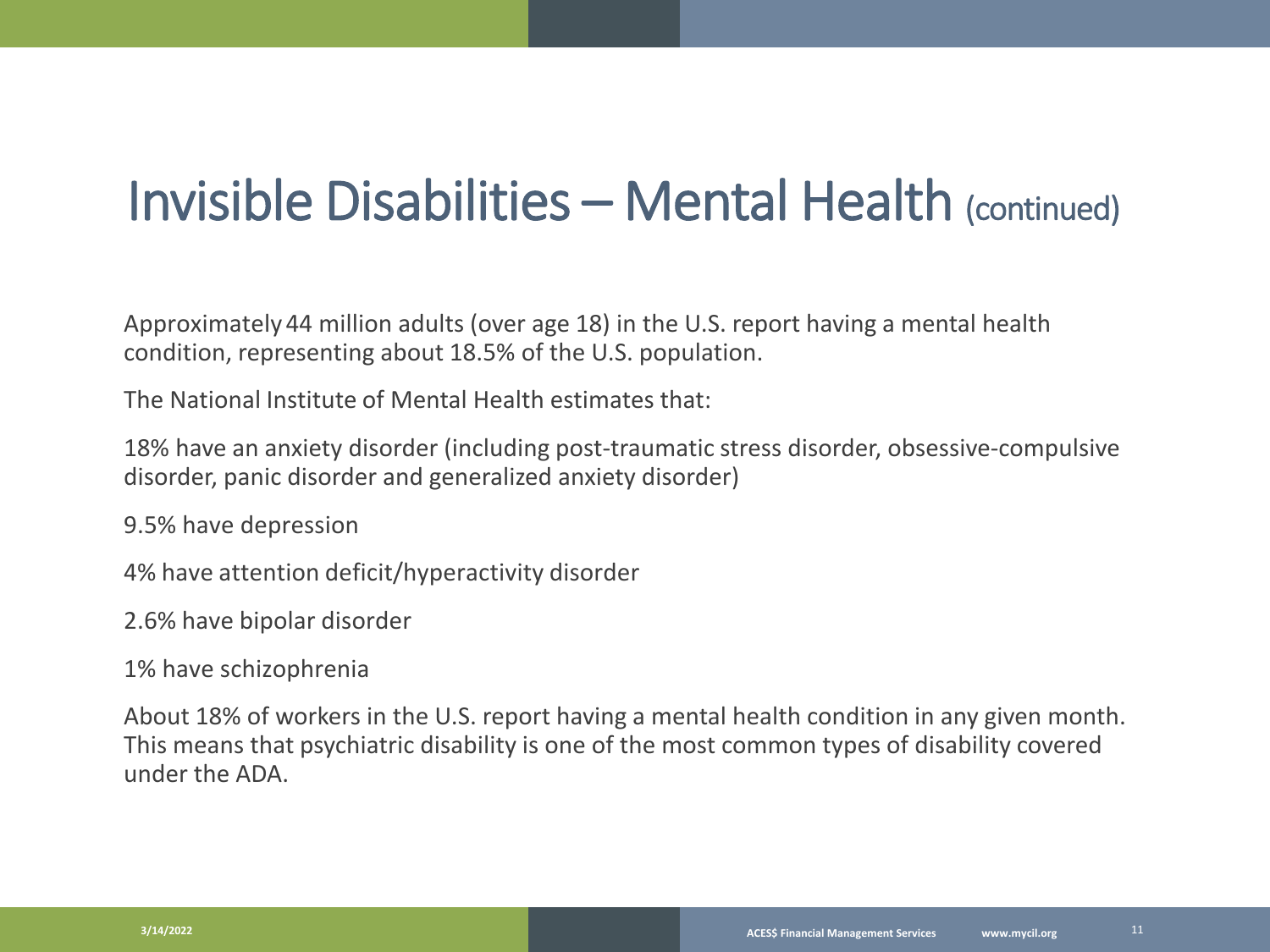#### Invisible Disabilities – Mental Health (continued)

Approximately 44 million adults (over age 18) in the U.S. report having a mental health condition, representing about 18.5% of the U.S. population.

The National Institute of Mental Health estimates that:

18% have an anxiety disorder (including post-traumatic stress disorder, obsessive-compulsive disorder, panic disorder and generalized anxiety disorder)

9.5% have depression

4% have attention deficit/hyperactivity disorder

2.6% have bipolar disorder

1% have schizophrenia

About 18% of workers in the U.S. report having a mental health condition in any given month. This means that psychiatric disability is one of the most common types of disability covered under the ADA.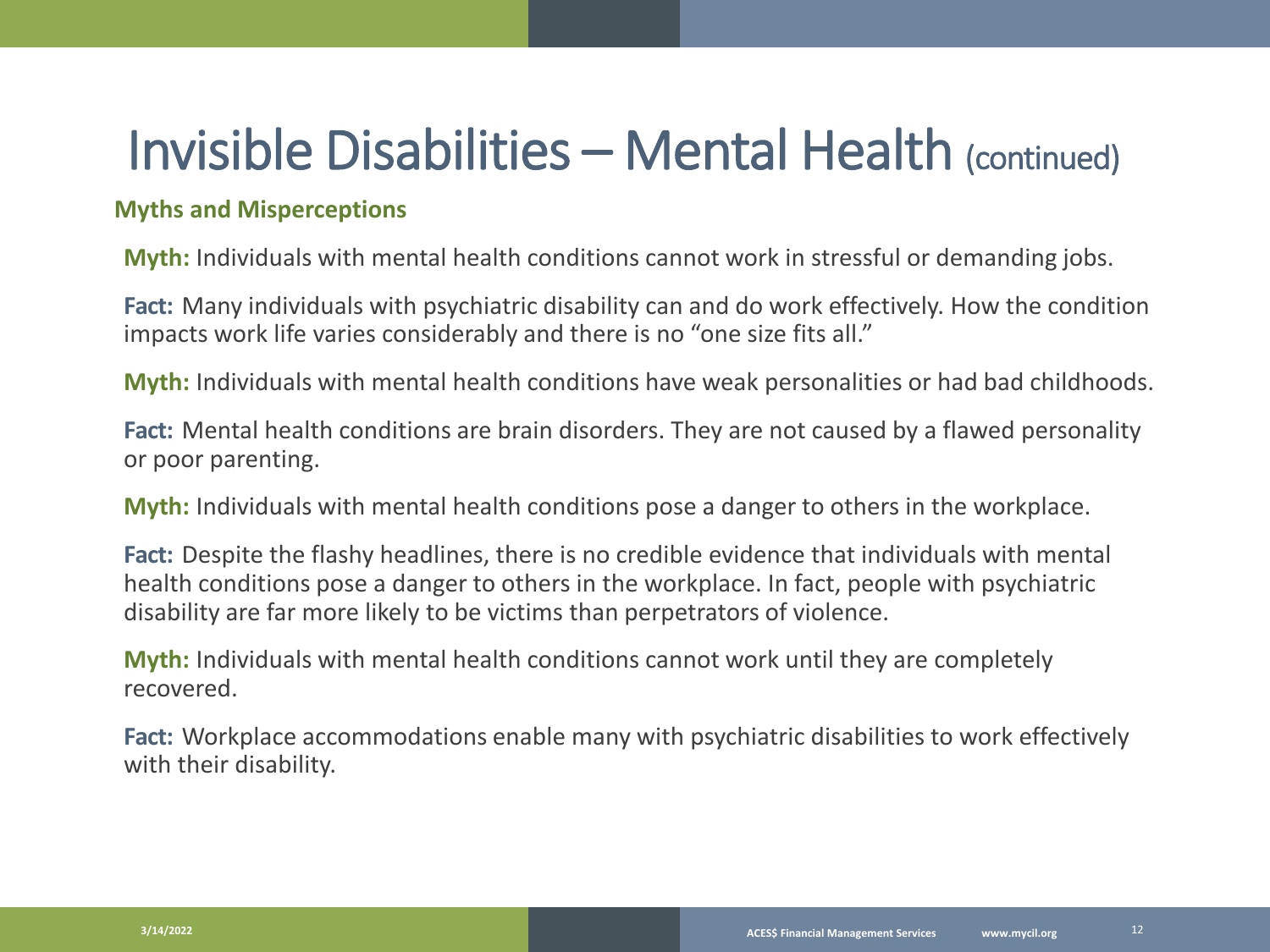#### Invisible Disabilities – Mental Health (continued)

#### **Myths and Misperceptions**

**Myth:** Individuals with mental health conditions cannot work in stressful or demanding jobs.

**Fact:** Many individuals with psychiatric disability can and do work effectively. How the condition impacts work life varies considerably and there is no "one size fits all."

**Myth:** Individuals with mental health conditions have weak personalities or had bad childhoods.

**Fact:** Mental health conditions are brain disorders. They are not caused by a flawed personality or poor parenting.

**Myth:** Individuals with mental health conditions pose a danger to others in the workplace.

**Fact:** Despite the flashy headlines, there is no credible evidence that individuals with mental health conditions pose a danger to others in the workplace. In fact, people with psychiatric disability are far more likely to be victims than perpetrators of violence.

**Myth:** Individuals with mental health conditions cannot work until they are completely recovered.

**Fact:** Workplace accommodations enable many with psychiatric disabilities to work effectively with their disability.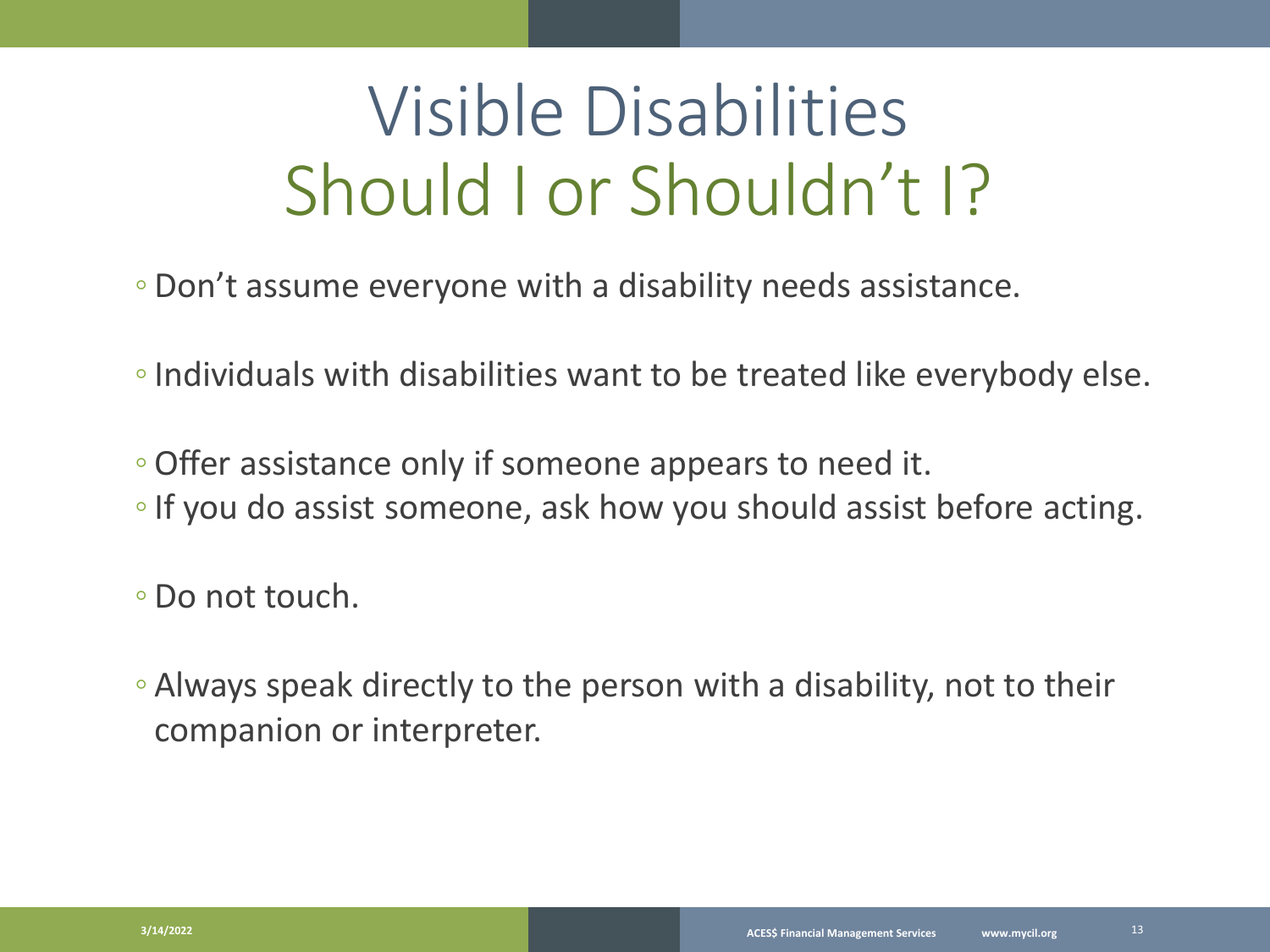### Visible Disabilities Should I or Shouldn't I?

- Don't assume everyone with a disability needs assistance.
- ◦Individuals with disabilities want to be treated like everybody else.
- ◦Offer assistance only if someone appears to need it.
- ◦If you do assist someone, ask how you should assist before acting.

◦ Do not touch.

◦ Always speak directly to the person with a disability, not to their companion or interpreter.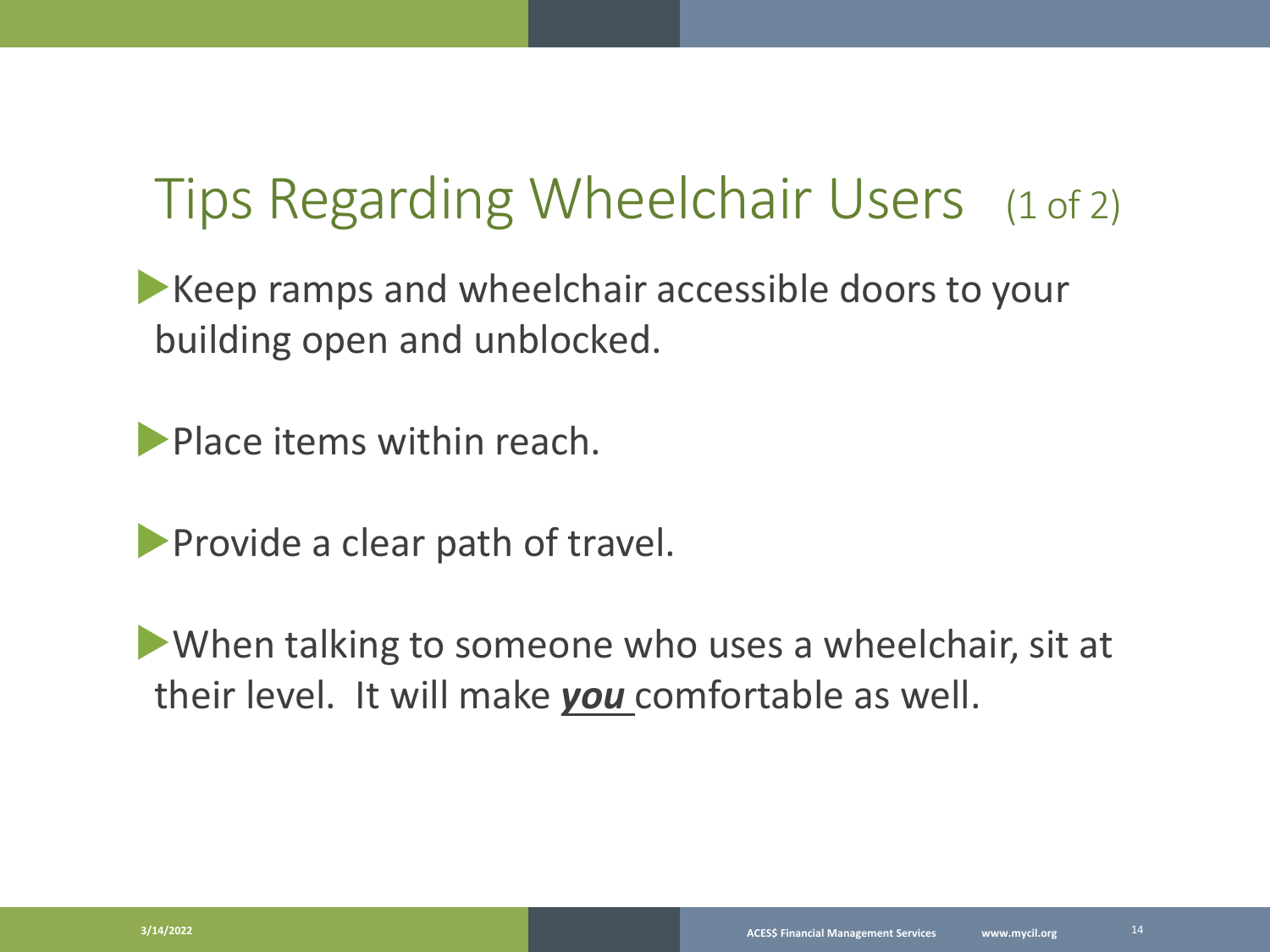#### Tips Regarding Wheelchair Users (1 of 2)

Keep ramps and wheelchair accessible doors to your building open and unblocked.

**Place items within reach.** 

**Provide a clear path of travel.** 

When talking to someone who uses a wheelchair, sit at their level. It will make *you* comfortable as well.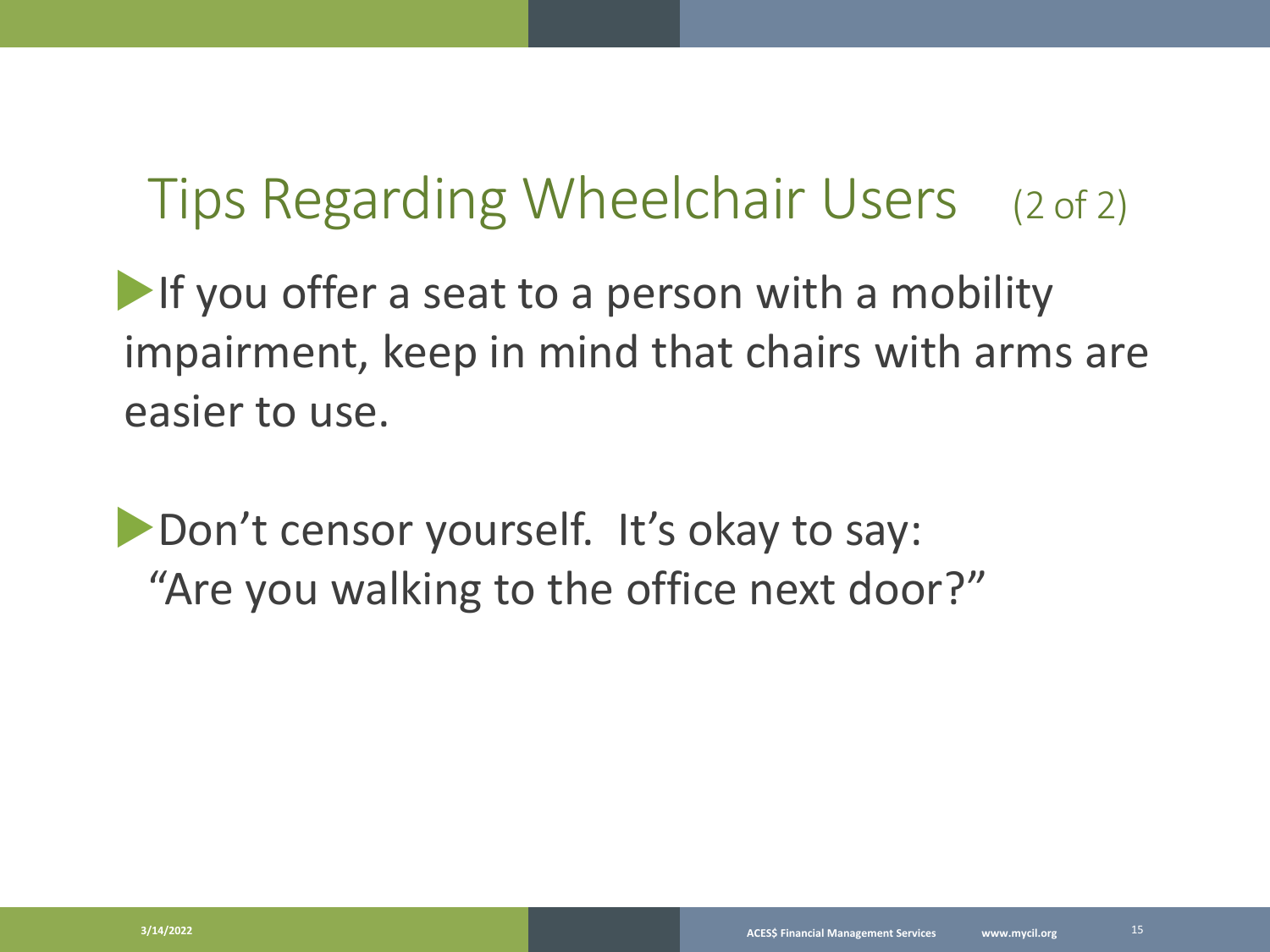#### Tips Regarding Wheelchair Users (2 of 2)

If you offer a seat to a person with a mobility impairment, keep in mind that chairs with arms are easier to use.

**Don't censor yourself. It's okay to say:** "Are you walking to the office next door?"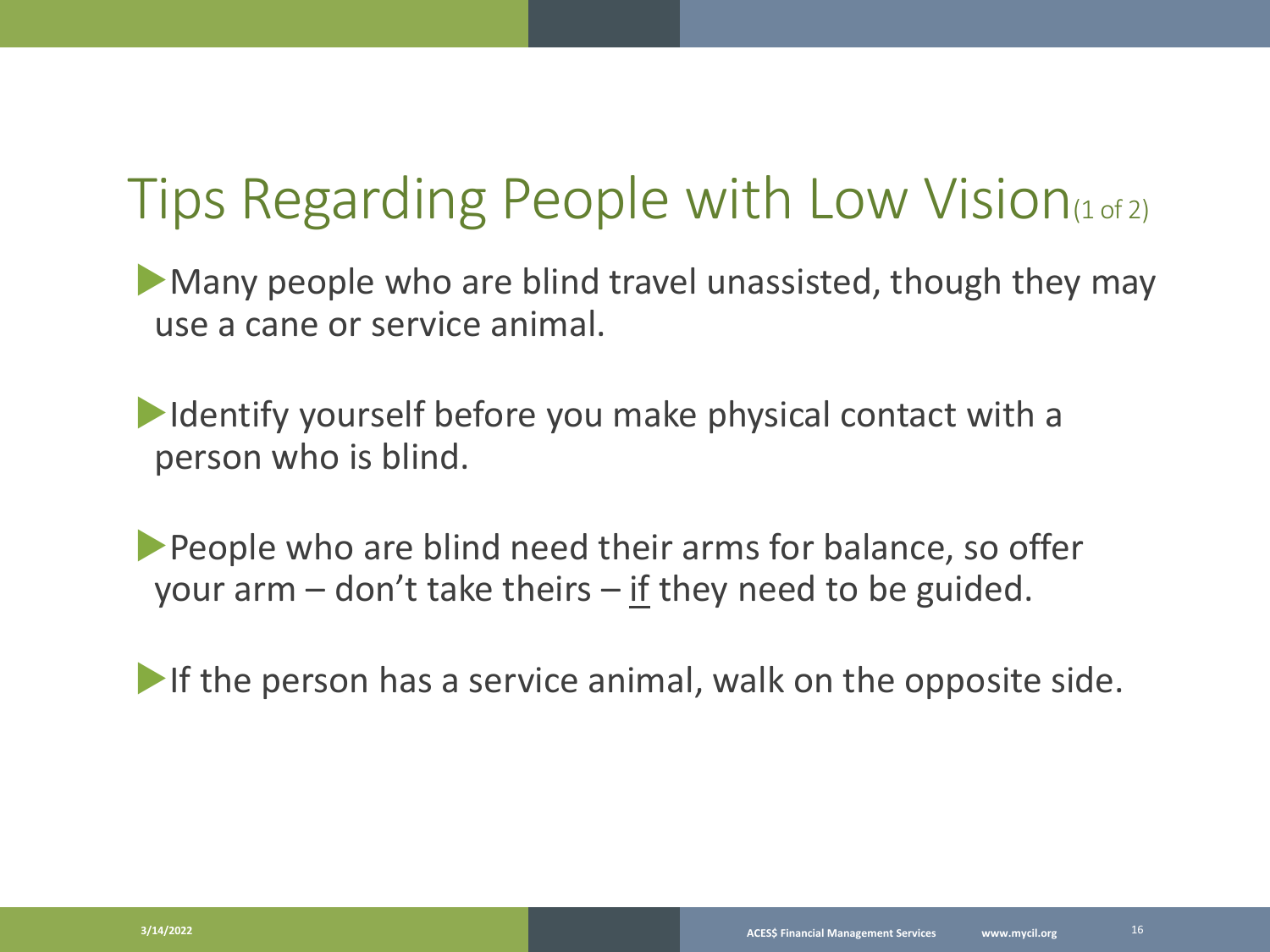#### Tips Regarding People with Low Vision(1 of 2)

Many people who are blind travel unassisted, though they may use a cane or service animal.

Identify yourself before you make physical contact with a person who is blind.

**People who are blind need their arms for balance, so offer** your arm – don't take theirs – if they need to be guided.

If the person has a service animal, walk on the opposite side.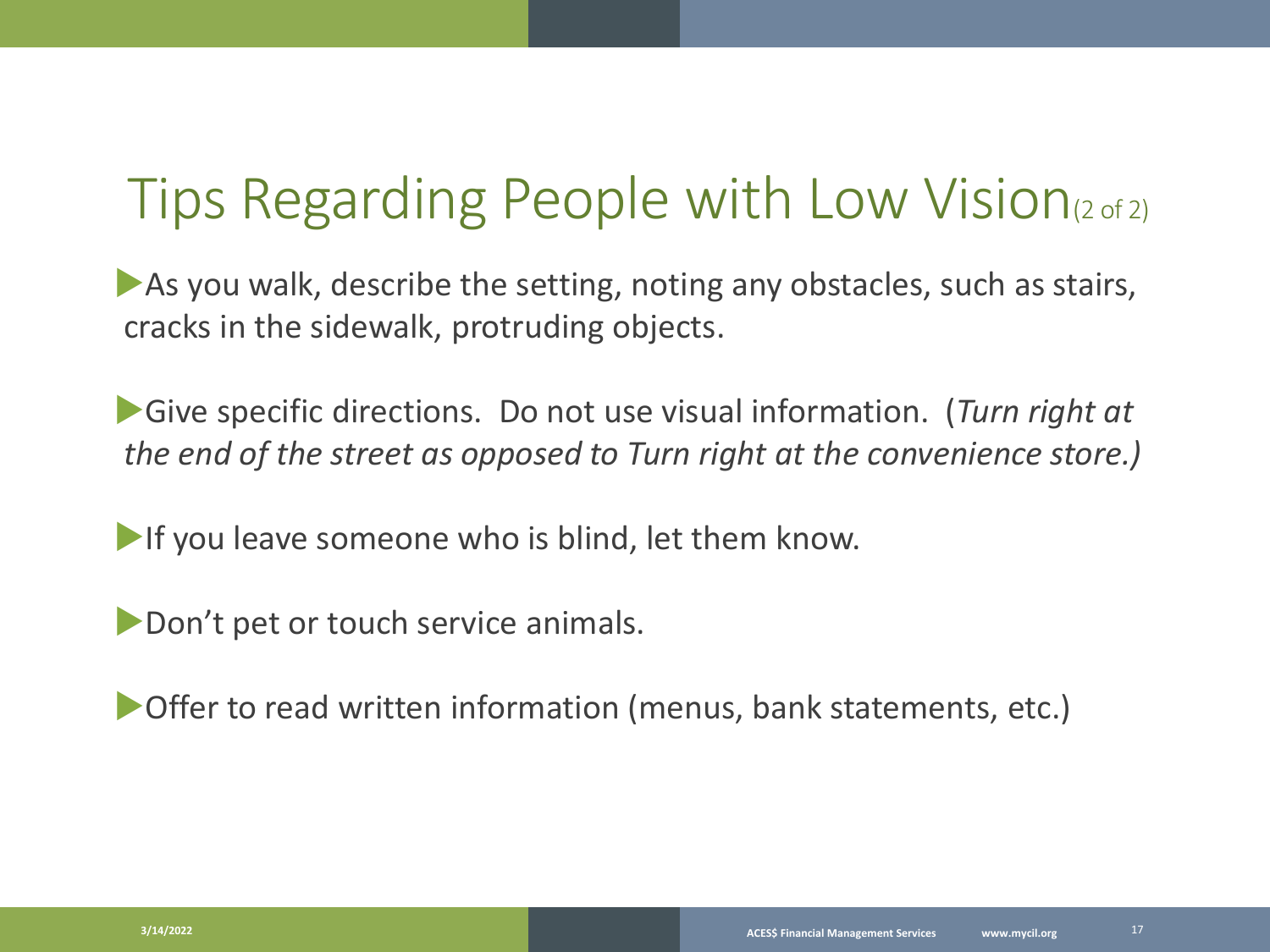#### Tips Regarding People with Low Vision(2 of 2)

As you walk, describe the setting, noting any obstacles, such as stairs, cracks in the sidewalk, protruding objects.

Give specific directions. Do not use visual information. (*Turn right at the end of the street as opposed to Turn right at the convenience store.)*

If you leave someone who is blind, let them know.

**Don't pet or touch service animals.** 

Offer to read written information (menus, bank statements, etc.)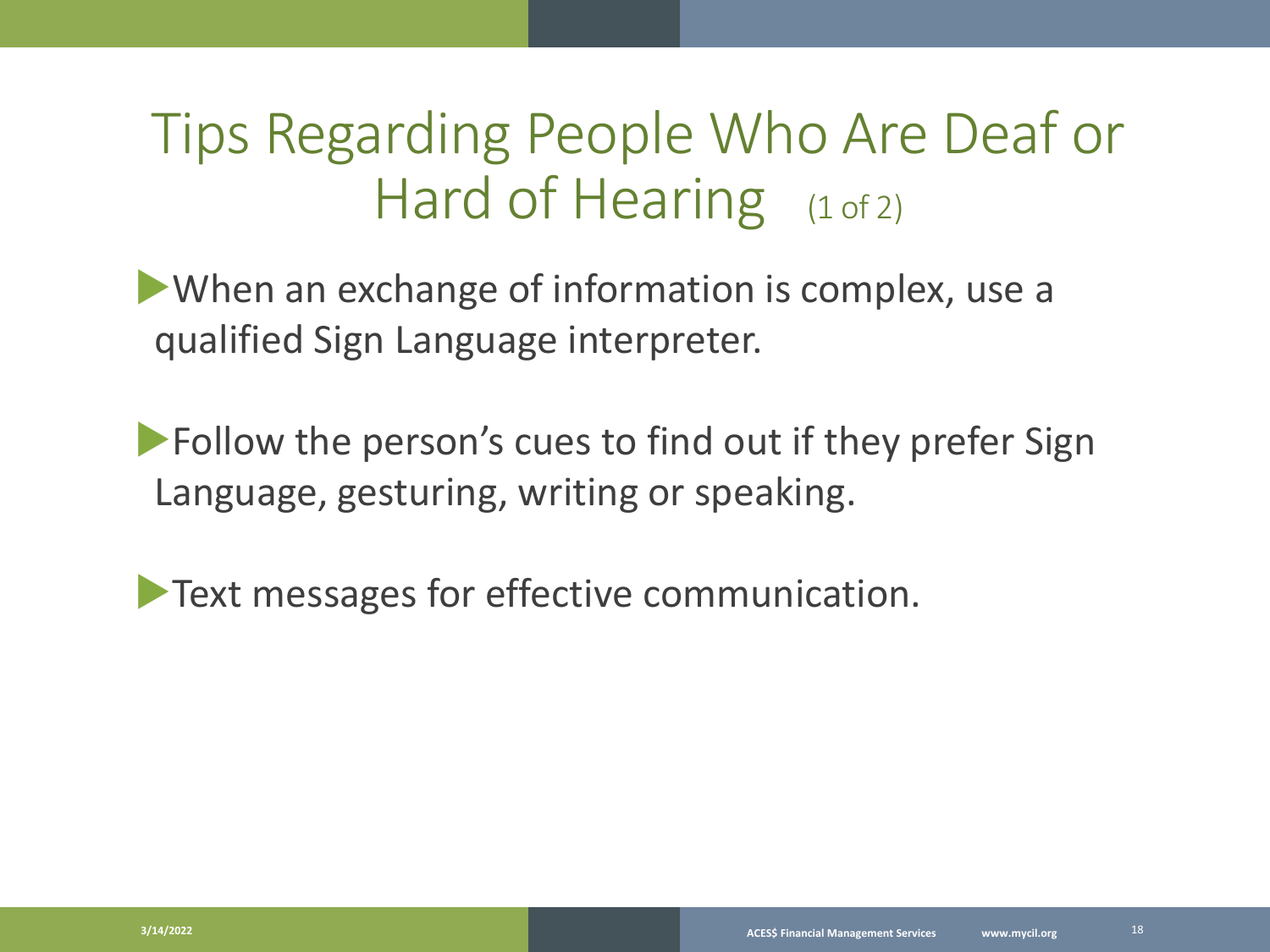#### Tips Regarding People Who Are Deaf or Hard of Hearing  $(1 of 2)$

When an exchange of information is complex, use a qualified Sign Language interpreter.

**Follow the person's cues to find out if they prefer Sign** Language, gesturing, writing or speaking.

**Text messages for effective communication.**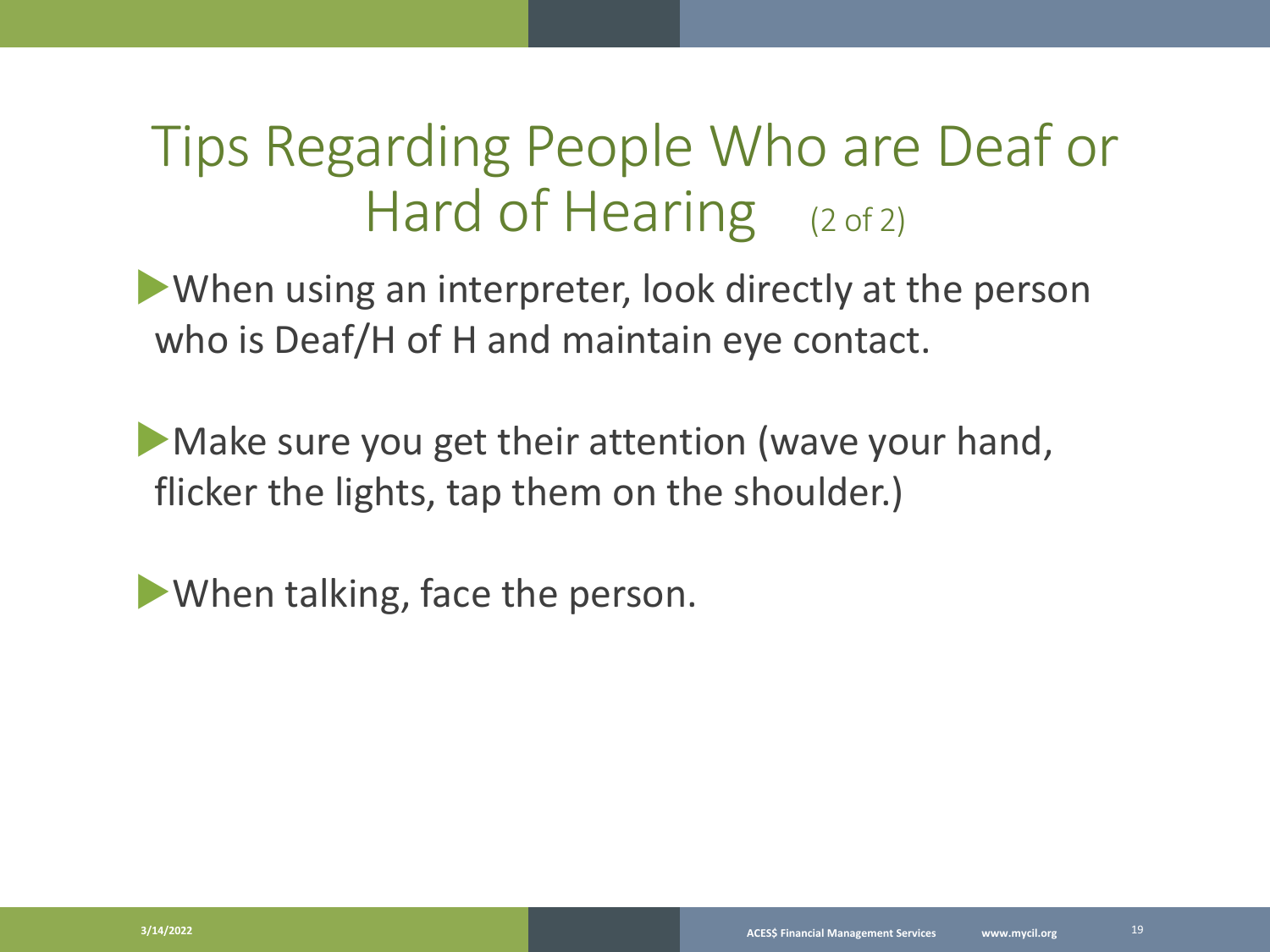#### Tips Regarding People Who are Deaf or Hard of Hearing (2 of 2)

When using an interpreter, look directly at the person who is Deaf/H of H and maintain eye contact.

Make sure you get their attention (wave your hand, flicker the lights, tap them on the shoulder.)

When talking, face the person.